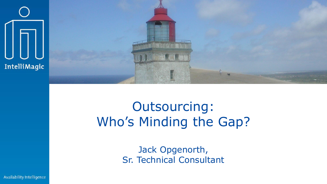

# Outsourcing: Who's Minding the Gap?

Jack Opgenorth, Sr. Technical Consultant

Availability Intelligence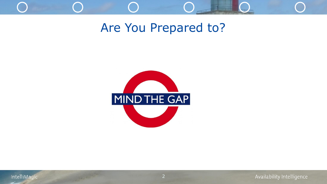

#### Are You Prepared to?

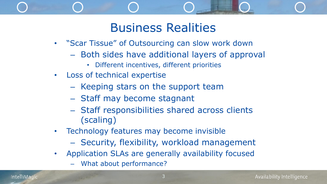### Business Realities

- "Scar Tissue" of Outsourcing can slow work down
	- ‒ Both sides have additional layers of approval
		- Different incentives, different priorities
- Loss of technical expertise
	- ‒ Keeping stars on the support team
	- ‒ Staff may become stagnant
	- ‒ Staff responsibilities shared across clients (scaling)
- Technology features may become invisible
	- ‒ Security, flexibility, workload management
- Application SLAs are generally availability focused
	- What about performance?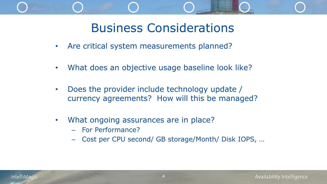## Business Considerations

- Are critical system measurements planned?
- What does an objective usage baseline look like?
- Does the provider include technology update / currency agreements? How will this be managed?
- What ongoing assurances are in place?
	- ‒ For Performance?
	- ‒ Cost per CPU second/ GB storage/Month/ Disk IOPS, …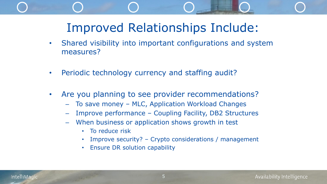## Improved Relationships Include:

- Shared visibility into important configurations and system measures?
- Periodic technology currency and staffing audit?
- Are you planning to see provider recommendations?
	- ‒ To save money MLC, Application Workload Changes
	- ‒ Improve performance Coupling Facility, DB2 Structures
	- When business or application shows growth in test
		- To reduce risk
		- Improve security? Crypto considerations / management
		- Ensure DR solution capability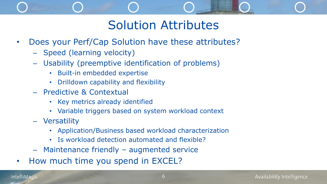### Solution Attributes

- Does your Perf/Cap Solution have these attributes?
	- ‒ Speed (learning velocity)
	- ‒ Usability (preemptive identification of problems)
		- Built-in embedded expertise
		- Drilldown capability and flexibility
	- ‒ Predictive & Contextual
		- Key metrics already identified
		- Variable triggers based on system workload context
	- ‒ Versatility
		- Application/Business based workload characterization
		- Is workload detection automated and flexible?
	- ‒ Maintenance friendly augmented service
- How much time you spend in EXCEL?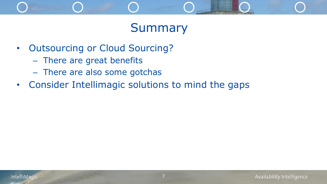### Summary

- Outsourcing or Cloud Sourcing?
	- ‒ There are great benefits
	- ‒ There are also some gotchas
- Consider Intellimagic solutions to mind the gaps